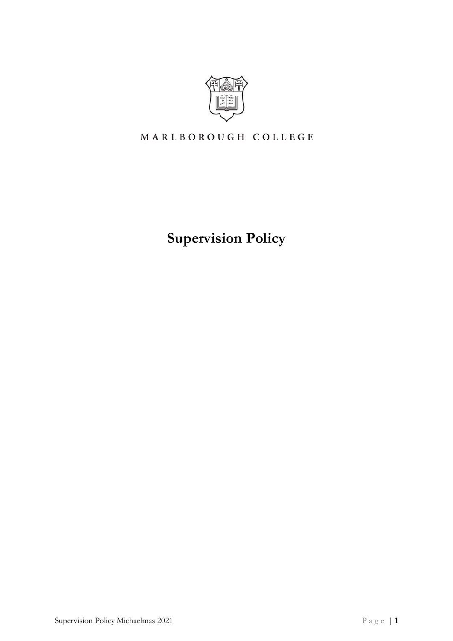

# MARLBOROUGH COLLEGE

**Supervision Policy**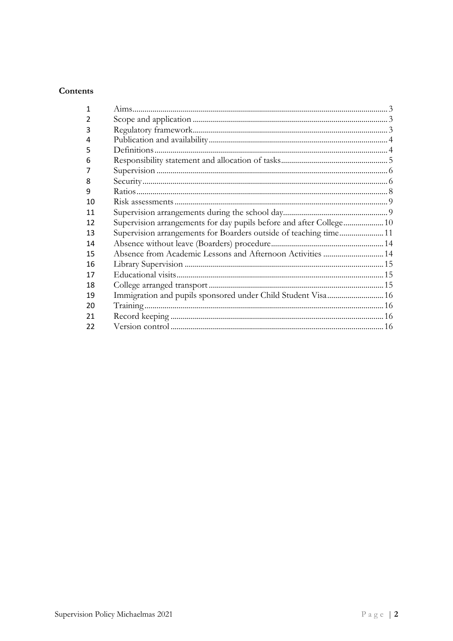# Contents

<span id="page-1-0"></span>

| 1  |                                                                  |  |
|----|------------------------------------------------------------------|--|
| 2  |                                                                  |  |
| 3  |                                                                  |  |
| 4  |                                                                  |  |
| 5  |                                                                  |  |
| 6  |                                                                  |  |
|    |                                                                  |  |
| 8  |                                                                  |  |
| 9  |                                                                  |  |
| 10 |                                                                  |  |
| 11 |                                                                  |  |
| 12 |                                                                  |  |
| 13 | Supervision arrangements for Boarders outside of teaching time11 |  |
| 14 |                                                                  |  |
| 15 | Absence from Academic Lessons and Afternoon Activities  14       |  |
| 16 |                                                                  |  |
| 17 |                                                                  |  |
| 18 |                                                                  |  |
| 19 | Immigration and pupils sponsored under Child Student Visa 16     |  |
| 20 |                                                                  |  |
| 21 |                                                                  |  |
| 22 |                                                                  |  |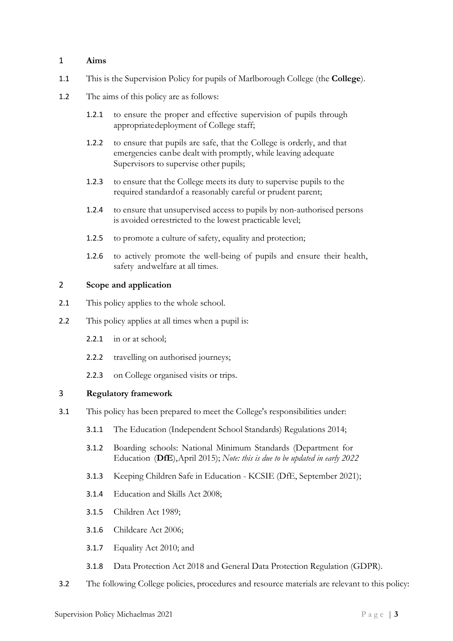# 1 **Aims**

- 1.1 This is the Supervision Policy for pupils of Marlborough College (the **College**).
- 1.2 The aims of this policy are as follows:
	- 1.2.1 to ensure the proper and effective supervision of pupils through appropriate deployment of College staff;
	- 1.2.2 to ensure that pupils are safe, that the College is orderly, and that emergencies can be dealt with promptly, while leaving adequate Supervisors to supervise other pupils;
	- 1.2.3 to ensure that the College meets its duty to supervise pupils to the required standard of a reasonably careful or prudent parent;
	- 1.2.4 to ensure that unsupervised access to pupils by non-authorised persons is avoided or restricted to the lowest practicable level;
	- 1.2.5 to promote a culture of safety, equality and protection;
	- 1.2.6 to actively promote the well-being of pupils and ensure their health, safety and welfare at all times.

# <span id="page-2-0"></span>2 **Scope and application**

- 2.1 This policy applies to the whole school.
- 2.2 This policy applies at all times when a pupil is:
	- 2.2.1 in or at school;
	- 2.2.2 travelling on authorised journeys;
	- 2.2.3 on College organised visits or trips.

# <span id="page-2-1"></span>3 **Regulatory framework**

- 3.1 This policy has been prepared to meet the College's responsibilities under:
	- 3.1.1 The Education (Independent School Standards) Regulations 2014;
	- 3.1.2 Boarding schools: National Minimum Standards (Department for Education (**DfE**), April 2015); *Note: this is due to be updated in early 2022*
	- 3.1.3 Keeping Children Safe in Education KCSIE (DfE, September 2021);
	- 3.1.4 Education and Skills Act 2008;
	- 3.1.5 Children Act 1989;
	- 3.1.6 Childcare Act 2006;
	- 3.1.7 Equality Act 2010; and
	- 3.1.8 Data Protection Act 2018 and General Data Protection Regulation (GDPR).
- 3.2 The following College policies, procedures and resource materials are relevant to this policy: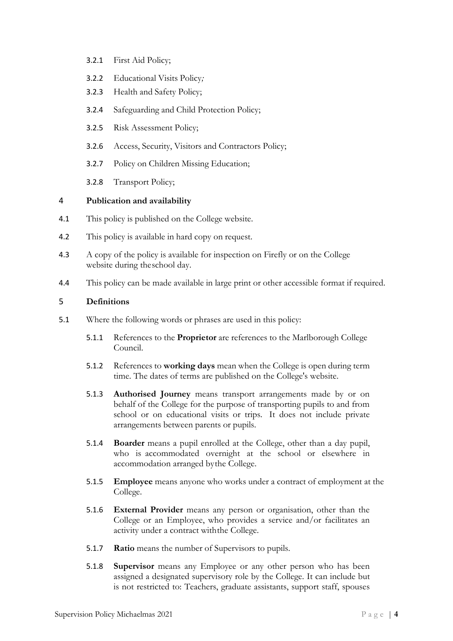- 3.2.1 First Aid Policy;
- 3.2.2 Educational Visits Policy*;*
- 3.2.3 Health and Safety Policy;
- 3.2.4 Safeguarding and Child Protection Policy;
- 3.2.5 Risk Assessment Policy;
- 3.2.6 Access, Security, Visitors and Contractors Policy;
- 3.2.7 Policy on Children Missing Education;
- 3.2.8 Transport Policy;

# <span id="page-3-0"></span>4 **Publication and availability**

- 4.1 This policy is published on the College website.
- 4.2 This policy is available in hard copy on request.
- 4.3 A copy of the policy is available for inspection on Firefly or on the College website during the school day.
- 4.4 This policy can be made available in large print or other accessible format if required.

# <span id="page-3-1"></span>5 **Definitions**

- 5.1 Where the following words or phrases are used in this policy:
	- 5.1.1 References to the **Proprietor** are references to the Marlborough College Council.
	- 5.1.2 References to **working days** mean when the College is open during term time. The dates of terms are published on the College's website.
	- 5.1.3 **Authorised Journey** means transport arrangements made by or on behalf of the College for the purpose of transporting pupils to and from school or on educational visits or trips. It does not include private arrangements between parents or pupils.
	- 5.1.4 **Boarder** means a pupil enrolled at the College, other than a day pupil, who is accommodated overnight at the school or elsewhere in accommodation arranged by the College.
	- 5.1.5 **Employee** means anyone who works under a contract of employment at the College.
	- 5.1.6 **External Provider** means any person or organisation, other than the College or an Employee, who provides a service and/or facilitates an activity under a contract with the College.
	- 5.1.7 **Ratio** means the number of Supervisors to pupils.
	- 5.1.8 **Supervisor** means any Employee or any other person who has been assigned a designated supervisory role by the College. It can include but is not restricted to: Teachers, graduate assistants, support staff, spouses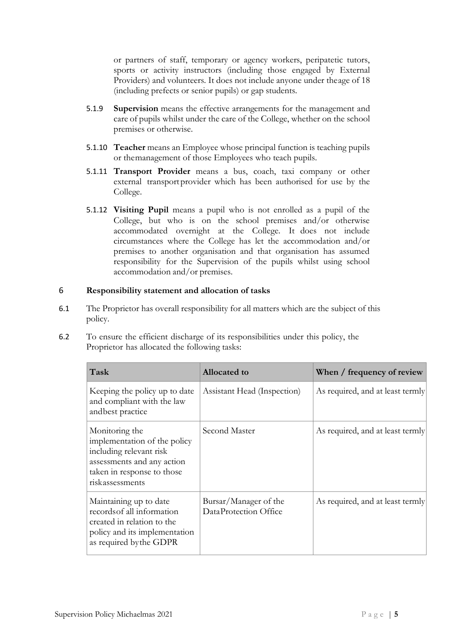or partners of staff, temporary or agency workers, peripatetic tutors, sports or activity instructors (including those engaged by External Providers) and volunteers. It does not include anyone under the age of 18 (including prefects or senior pupils) or gap students.

- 5.1.9 **Supervision** means the effective arrangements for the management and care of pupils whilst under the care of the College, whether on the school premises or otherwise.
- 5.1.10 **Teacher** means an Employee whose principal function is teaching pupils or the management of those Employees who teach pupils.
- 5.1.11 **Transport Provider** means a bus, coach, taxi company or other external transport provider which has been authorised for use by the College.
- 5.1.12 **Visiting Pupil** means a pupil who is not enrolled as a pupil of the College, but who is on the school premises and/or otherwise accommodated overnight at the College. It does not include circumstances where the College has let the accommodation and/or premises to another organisation and that organisation has assumed responsibility for the Supervision of the pupils whilst using school accommodation and/or premises.

# <span id="page-4-0"></span>6 **Responsibility statement and allocation of tasks**

- 6.1 The Proprietor has overall responsibility for all matters which are the subject of this policy.
- 6.2 To ensure the efficient discharge of its responsibilities under this policy, the Proprietor has allocated the following tasks:

| Task                                                                                                                                                     | Allocated to                                   | When / frequency of review       |
|----------------------------------------------------------------------------------------------------------------------------------------------------------|------------------------------------------------|----------------------------------|
| Keeping the policy up to date<br>and compliant with the law<br>and best practice                                                                         | Assistant Head (Inspection)                    | As required, and at least termly |
| Monitoring the<br>implementation of the policy<br>including relevant risk<br>assessments and any action<br>taken in response to those<br>riskassessments | Second Master                                  | As required, and at least termly |
| Maintaining up to date<br>records of all information<br>created in relation to the<br>policy and its implementation<br>as required by the GDPR           | Bursar/Manager of the<br>DataProtection Office | As required, and at least termly |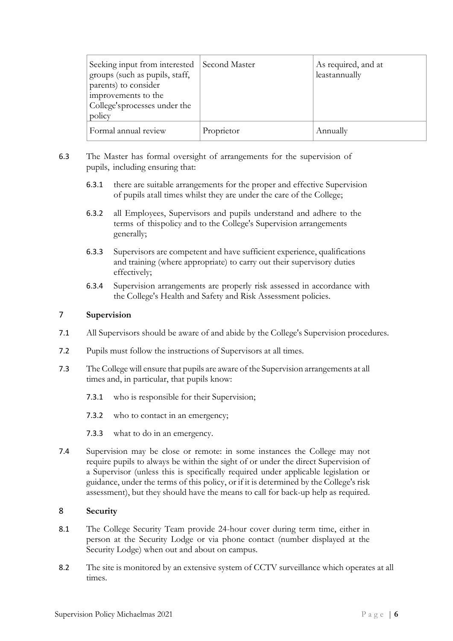| Seeking input from interested<br>groups (such as pupils, staff,<br>parents) to consider<br>improvements to the<br>College's processes under the<br>policy | Second Master | As required, and at<br>leastannually |
|-----------------------------------------------------------------------------------------------------------------------------------------------------------|---------------|--------------------------------------|
| Formal annual review                                                                                                                                      | Proprietor    | Annually                             |

- 6.3 The Master has formal oversight of arrangements for the supervision of pupils, including ensuring that:
	- 6.3.1 there are suitable arrangements for the proper and effective Supervision of pupils at all times whilst they are under the care of the College;
	- 6.3.2 all Employees, Supervisors and pupils understand and adhere to the terms of this policy and to the College's Supervision arrangements generally;
	- 6.3.3 Supervisors are competent and have sufficient experience, qualifications and training (where appropriate) to carry out their supervisory duties effectively;
	- 6.3.4 Supervision arrangements are properly risk assessed in accordance with the College's Health and Safety and Risk Assessment policies.

# <span id="page-5-0"></span>7 **Supervision**

- 7.1 All Supervisors should be aware of and abide by the College's Supervision procedures.
- 7.2 Pupils must follow the instructions of Supervisors at all times.
- 7.3 The College will ensure that pupils are aware of the Supervision arrangements at all times and, in particular, that pupils know:
	- 7.3.1 who is responsible for their Supervision;
	- 7.3.2 who to contact in an emergency;
	- 7.3.3 what to do in an emergency.
- 7.4 Supervision may be close or remote: in some instances the College may not require pupils to always be within the sight of or under the direct Supervision of a Supervisor (unless this is specifically required under applicable legislation or guidance, under the terms of this policy, or if it is determined by the College's risk assessment), but they should have the means to call for back-up help as required.

#### <span id="page-5-1"></span>8 **Security**

- 8.1 The College Security Team provide 24-hour cover during term time, either in person at the Security Lodge or via phone contact (number displayed at the Security Lodge) when out and about on campus.
- 8.2 The site is monitored by an extensive system of CCTV surveillance which operates at all times.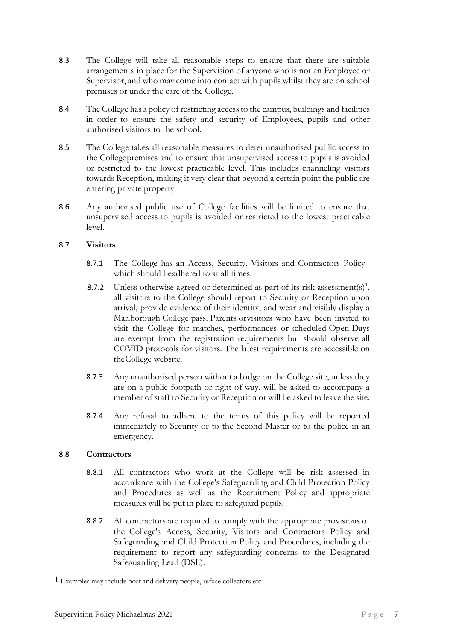- 8.3 The College will take all reasonable steps to ensure that there are suitable arrangements in place for the Supervision of anyone who is not an Employee or Supervisor, and who may come into contact with pupils whilst they are on school premises or under the care of the College.
- 8.4 The College has a policy of restricting access to the campus, buildings and facilities in order to ensure the safety and security of Employees, pupils and other authorised visitors to the school.
- 8.5 The College takes all reasonable measures to deter unauthorised public access to the College premises and to ensure that unsupervised access to pupils is avoided or restricted to the lowest practicable level. This includes channeling visitors towards Reception, making it very clear that beyond a certain point the public are entering private property.
- 8.6 Any authorised public use of College facilities will be limited to ensure that unsupervised access to pupils is avoided or restricted to the lowest practicable level.

# 8.7 **Visitors**

- 8.7.1 The College has an Access, Security, Visitors and Contractors Policy which should be adhered to at all times.
- 8.7.2 Unless otherwise agreed or determined as part of its risk assessment(s)<sup>1</sup>, all visitors to the College should report to Security or Reception upon arrival, provide evidence of their identity, and wear and visibly display a Marlborough College pass. Parents or visitors who have been invited to visit the College for matches, performances or scheduled Open Days are exempt from the registration requirements but should observe all COVID protocols for visitors. The latest requirements are accessible on the College website.
- 8.7.3 Any unauthorised person without a badge on the College site, unless they are on a public footpath or right of way, will be asked to accompany a member of staff to Security or Reception or will be asked to leave the site.
- 8.7.4 Any refusal to adhere to the terms of this policy will be reported immediately to Security or to the Second Master or to the police in an emergency.

# 8.8 **Contractors**

- 8.8.1 All contractors who work at the College will be risk assessed in accordance with the College's Safeguarding and Child Protection Policy and Procedures as well as the Recruitment Policy and appropriate measures will be put in place to safeguard pupils.
- 8.8.2 All contractors are required to comply with the appropriate provisions of the College's Access, Security, Visitors and Contractors Policy and Safeguarding and Child Protection Policy and Procedures, including the requirement to report any safeguarding concerns to the Designated Safeguarding Lead (DSL).

<sup>1</sup> Examples may include post and delivery people, refuse collectors etc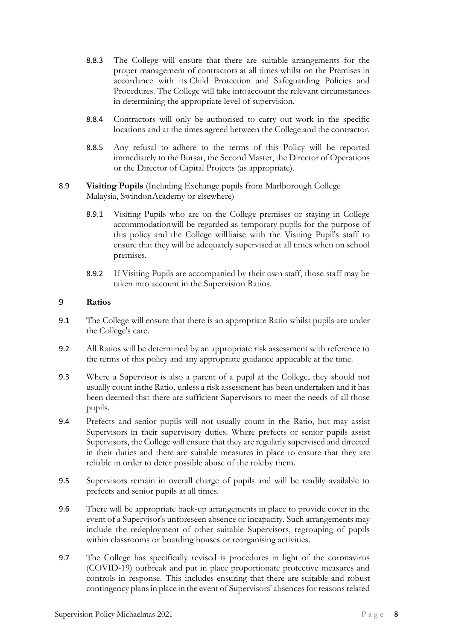- 8.8.3 The College will ensure that there are suitable arrangements for the proper management of contractors at all times whilst on the Premises in accordance with its Child Protection and Safeguarding Policies and Procedures. The College will take into account the relevant circumstances in determining the appropriate level of supervision.
- 8.8.4 Contractors will only be authorised to carry out work in the specific locations and at the times agreed between the College and the contractor.
- 8.8.5 Any refusal to adhere to the terms of this Policy will be reported immediately to the Bursar, the Second Master, the Director of Operations or the Director of Capital Projects (as appropriate).
- 8.9 **Visiting Pupils** (Including Exchange pupils from Marlborough College Malaysia, Swindon Academy or elsewhere)
	- 8.9.1 Visiting Pupils who are on the College premises or staying in College accommodation will be regarded as temporary pupils for the purpose of this policy and the College will liaise with the Visiting Pupil's staff to ensure that they will be adequately supervised at all times when on school premises.
	- 8.9.2 If Visiting Pupils are accompanied by their own staff, those staff may be taken into account in the Supervision Ratios.

### <span id="page-7-0"></span>9 **Ratios**

- 9.1 The College will ensure that there is an appropriate Ratio whilst pupils are under the College's care.
- 9.2 All Ratios will be determined by an appropriate risk assessment with reference to the terms of this policy and any appropriate guidance applicable at the time.
- 9.3 Where a Supervisor is also a parent of a pupil at the College, they should not usually count in the Ratio, unless a risk assessment has been undertaken and it has been deemed that there are sufficient Supervisors to meet the needs of all those pupils.
- 9.4 Prefects and senior pupils will not usually count in the Ratio, but may assist Supervisors in their supervisory duties. Where prefects or senior pupils assist Supervisors, the College will ensure that they are regularly supervised and directed in their duties and there are suitable measures in place to ensure that they are reliable in order to deter possible abuse of the roleby them.
- 9.5 Supervisors remain in overall charge of pupils and will be readily available to prefects and senior pupils at all times.
- 9.6 There will be appropriate back-up arrangements in place to provide cover in the event of a Supervisor's unforeseen absence or incapacity. Such arrangements may include the redeployment of other suitable Supervisors, regrouping of pupils within classrooms or boarding houses or reorganising activities.
- 9.7 The College has specifically revised is procedures in light of the coronavirus (COVID-19) outbreak and put in place proportionate protective measures and controls in response. This includes ensuring that there are suitable and robust contingency plans in place in the event of Supervisors' absences for reasons related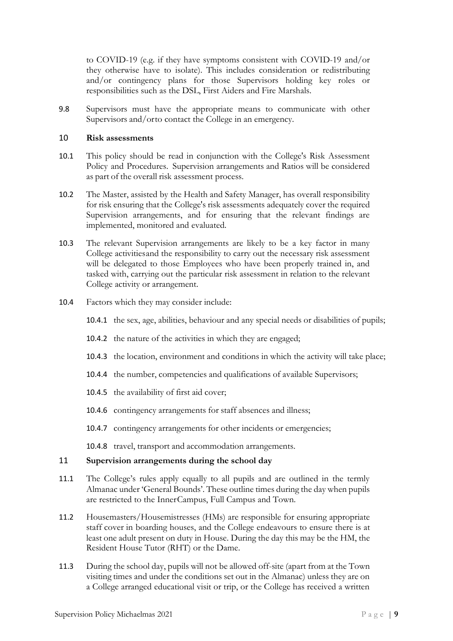to COVID-19 (e.g. if they have symptoms consistent with COVID-19 and/or they otherwise have to isolate). This includes consideration or redistributing and/or contingency plans for those Supervisors holding key roles or responsibilities such as the DSL, First Aiders and Fire Marshals.

9.8 Supervisors must have the appropriate means to communicate with other Supervisors and/orto contact the College in an emergency.

#### <span id="page-8-0"></span>10 **Risk assessments**

- 10.1 This policy should be read in conjunction with the College's Risk Assessment Policy and Procedures. Supervision arrangements and Ratios will be considered as part of the overall risk assessment process.
- 10.2 The Master, assisted by the Health and Safety Manager, has overall responsibility for risk ensuring that the College's risk assessments adequately cover the required Supervision arrangements, and for ensuring that the relevant findings are implemented, monitored and evaluated.
- 10.3 The relevant Supervision arrangements are likely to be a key factor in many College activities and the responsibility to carry out the necessary risk assessment will be delegated to those Employees who have been properly trained in, and tasked with, carrying out the particular risk assessment in relation to the relevant College activity or arrangement.
- 10.4 Factors which they may consider include:
	- 10.4.1 the sex, age, abilities, behaviour and any special needs or disabilities of pupils;
	- 10.4.2 the nature of the activities in which they are engaged;
	- 10.4.3 the location, environment and conditions in which the activity will take place;
	- 10.4.4 the number, competencies and qualifications of available Supervisors;
	- 10.4.5 the availability of first aid cover;
	- 10.4.6 contingency arrangements for staff absences and illness;
	- 10.4.7 contingency arrangements for other incidents or emergencies;
	- 10.4.8 travel, transport and accommodation arrangements.

#### <span id="page-8-1"></span>11 **Supervision arrangements during the school day**

- 11.1 The College's rules apply equally to all pupils and are outlined in the termly Almanac under 'General Bounds'. These outline times during the day when pupils are restricted to the Inner Campus, Full Campus and Town.
- 11.2 Housemasters/Housemistresses (HMs) are responsible for ensuring appropriate staff cover in boarding houses, and the College endeavours to ensure there is at least one adult present on duty in House. During the day this may be the HM, the Resident House Tutor (RHT) or the Dame.
- 11.3 During the school day, pupils will not be allowed off-site (apart from at the Town visiting times and under the conditions set out in the Almanac) unless they are on a College arranged educational visit or trip, or the College has received a written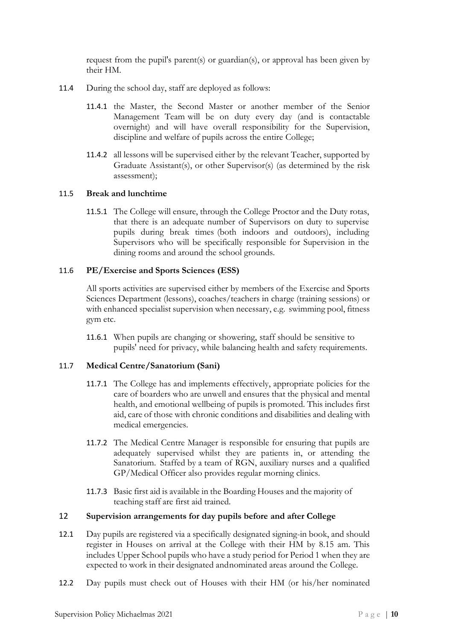request from the pupil's parent(s) or guardian(s), or approval has been given by their HM.

- 11.4 During the school day, staff are deployed as follows:
	- 11.4.1 the Master, the Second Master or another member of the Senior Management Team will be on duty every day (and is contactable overnight) and will have overall responsibility for the Supervision, discipline and welfare of pupils across the entire College;
	- 11.4.2 all lessons will be supervised either by the relevant Teacher, supported by Graduate Assistant(s), or other Supervisor(s) (as determined by the risk assessment);

### 11.5 **Break and lunchtime**

11.5.1 The College will ensure, through the College Proctor and the Duty rotas, that there is an adequate number of Supervisors on duty to supervise pupils during break times (both indoors and outdoors), including Supervisors who will be specifically responsible for Supervision in the dining rooms and around the school grounds.

### 11.6 **PE/Exercise and Sports Sciences (ESS)**

All sports activities are supervised either by members of the Exercise and Sports Sciences Department (lessons), coaches/teachers in charge (training sessions) or with enhanced specialist supervision when necessary, e.g. swimming pool, fitness gym etc.

11.6.1 When pupils are changing or showering, staff should be sensitive to pupils' need for privacy, while balancing health and safety requirements.

# 11.7 **Medical Centre/Sanatorium (Sani)**

- 11.7.1 The College has and implements effectively, appropriate policies for the care of boarders who are unwell and ensures that the physical and mental health, and emotional wellbeing of pupils is promoted. This includes first aid, care of those with chronic conditions and disabilities and dealing with medical emergencies.
- 11.7.2 The Medical Centre Manager is responsible for ensuring that pupils are adequately supervised whilst they are patients in, or attending the Sanatorium. Staffed by a team of RGN, auxiliary nurses and a qualified GP/Medical Officer also provides regular morning clinics.
- 11.7.3 Basic first aid is available in the Boarding Houses and the majority of teaching staff are first aid trained.

### 12 **Supervision arrangements for day pupils before and after College**

- 12.1 Day pupils are registered via a specifically designated signing-in book, and should register in Houses on arrival at the College with their HM by 8.15 am. This includes Upper School pupils who have a study period for Period 1 when they are expected to work in their designated and nominated areas around the College.
- 12.2 Day pupils must check out of Houses with their HM (or his/her nominated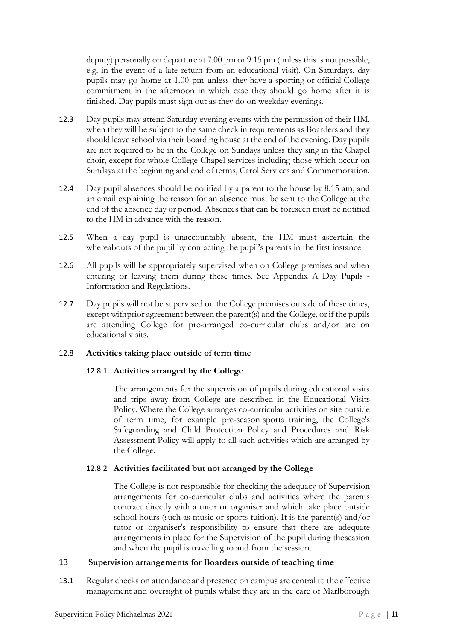deputy) personally on departure at 7.00 pm or 9.15 pm (unless this is not possible, e.g. in the event of a late return from an educational visit). On Saturdays, day pupils may go home at 1.00 pm unless they have a sporting or official College commitment in the afternoon in which case they should go home after it is finished. Day pupils must sign out as they do on weekday evenings.

- 12.3 Day pupils may attend Saturday evening events with the permission of their HM, when they will be subject to the same check in requirements as Boarders and they should leave school via their boarding house at the end of the evening. Day pupils are not required to be in the College on Sundays unless they sing in the Chapel choir, except for whole College Chapel services including those which occur on Sundays at the beginning and end of terms, Carol Services and Commemoration.
- 12.4 Day pupil absences should be notified by a parent to the house by 8.15 am, and an email explaining the reason for an absence must be sent to the College at the end of the absence day or period. Absences that can be foreseen must be notified to the HM in advance with the reason.
- 12.5 When a day pupil is unaccountably absent, the HM must ascertain the whereabouts of the pupil by contacting the pupil's parents in the first instance.
- 12.6 All pupils will be appropriately supervised when on College premises and when entering or leaving them during these times. See Appendix A Day Pupils - Information and Regulations.
- 12.7 Day pupils will not be supervised on the College premises outside of these times, except with prior agreement between the parent(s) and the College, or if the pupils are attending College for pre-arranged co-curricular clubs and/or are on educational visits.

#### 12.8 **Activities taking place outside of term time**

#### 12.8.1 **Activities arranged by the College**

The arrangements for the supervision of pupils during educational visits and trips away from College are described in the Educational Visits Policy. Where the College arranges co-curricular activities on site outside of term time, for example pre-season sports training, the College's Safeguarding and Child Protection Policy and Procedures and Risk Assessment Policy will apply to all such activities which are arranged by the College.

# 12.8.2 **Activities facilitated but not arranged by the College**

The College is not responsible for checking the adequacy of Supervision arrangements for co-curricular clubs and activities where the parents contract directly with a tutor or organiser and which take place outside school hours (such as music or sports tuition). It is the parent(s) and/or tutor or organiser's responsibility to ensure that there are adequate arrangements in place for the Supervision of the pupil during the session and when the pupil is travelling to and from the session.

#### <span id="page-10-0"></span>13 **Supervision arrangements for Boarders outside of teaching time**

13.1 Regular checks on attendance and presence on campus are central to the effective management and oversight of pupils whilst they are in the care of Marlborough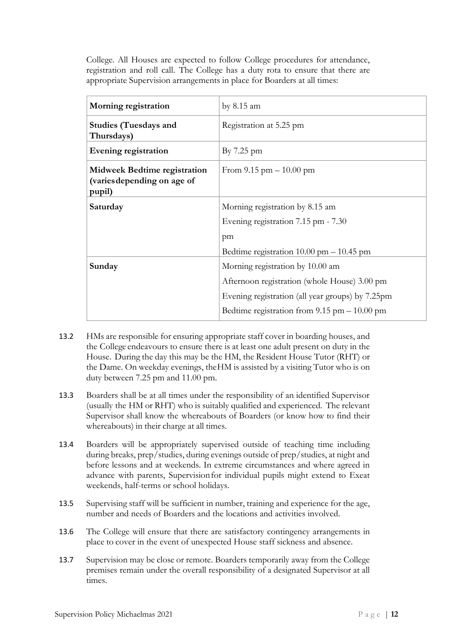College. All Houses are expected to follow College procedures for attendance, registration and roll call. The College has a duty rota to ensure that there are appropriate Supervision arrangements in place for Boarders at all times:

| Morning registration                                                         | by $8.15$ am                                               |
|------------------------------------------------------------------------------|------------------------------------------------------------|
| <b>Studies (Tuesdays and</b><br>Thursdays)                                   | Registration at 5.25 pm                                    |
| Evening registration                                                         | By $7.25$ pm                                               |
| <b>Midweek Bedtime registration</b><br>(varies depending on age of<br>pupil) | From $9.15 \text{ pm} - 10.00 \text{ pm}$                  |
| Saturday                                                                     | Morning registration by 8.15 am                            |
|                                                                              | Evening registration 7.15 pm - 7.30                        |
|                                                                              | pm                                                         |
|                                                                              | Bedtime registration $10.00 \text{ pm} - 10.45 \text{ pm}$ |
| Sunday                                                                       | Morning registration by 10.00 am                           |
|                                                                              | Afternoon registration (whole House) 3.00 pm               |
|                                                                              | Evening registration (all year groups) by 7.25pm           |
|                                                                              | Bedtime registration from $9.15$ pm $-10.00$ pm            |

- 13.2 HMs are responsible for ensuring appropriate staff cover in boarding houses, and the College endeavours to ensure there is at least one adult present on duty in the House. During the day this may be the HM, the Resident House Tutor (RHT) or the Dame. On weekday evenings, the HM is assisted by a visiting Tutor who is on duty between 7.25 pm and 11.00 pm.
- 13.3 Boarders shall be at all times under the responsibility of an identified Supervisor (usually the HM or RHT) who is suitably qualified and experienced. The relevant Supervisor shall know the whereabouts of Boarders (or know how to find their whereabouts) in their charge at all times.
- 13.4 Boarders will be appropriately supervised outside of teaching time including during breaks, prep/studies, during evenings outside of prep/studies, at night and before lessons and at weekends. In extreme circumstances and where agreed in advance with parents, Supervision for individual pupils might extend to Exeat weekends, half-terms or school holidays.
- 13.5 Supervising staff will be sufficient in number, training and experience for the age, number and needs of Boarders and the locations and activities involved.
- 13.6 The College will ensure that there are satisfactory contingency arrangements in place to cover in the event of unexpected House staff sickness and absence.
- 13.7 Supervision may be close or remote. Boarders temporarily away from the College premises remain under the overall responsibility of a designated Supervisor at all times.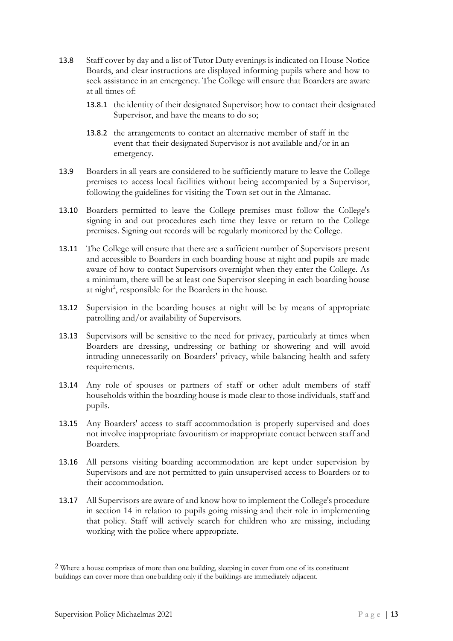- 13.8 Staff cover by day and a list of Tutor Duty evenings is indicated on House Notice Boards, and clear instructions are displayed informing pupils where and how to seek assistance in an emergency. The College will ensure that Boarders are aware at all times of:
	- 13.8.1 the identity of their designated Supervisor; how to contact their designated Supervisor, and have the means to do so;
	- 13.8.2 the arrangements to contact an alternative member of staff in the event that their designated Supervisor is not available and/or in an emergency.
- 13.9 Boarders in all years are considered to be sufficiently mature to leave the College premises to access local facilities without being accompanied by a Supervisor, following the guidelines for visiting the Town set out in the Almanac.
- 13.10 Boarders permitted to leave the College premises must follow the College's signing in and out procedures each time they leave or return to the College premises. Signing out records will be regularly monitored by the College.
- 13.11 The College will ensure that there are a sufficient number of Supervisors present and accessible to Boarders in each boarding house at night and pupils are made aware of how to contact Supervisors overnight when they enter the College. As a minimum, there will be at least one Supervisor sleeping in each boarding house at night<sup>2</sup>, responsible for the Boarders in the house.
- 13.12 Supervision in the boarding houses at night will be by means of appropriate patrolling and/or availability of Supervisors.
- 13.13 Supervisors will be sensitive to the need for privacy, particularly at times when Boarders are dressing, undressing or bathing or showering and will avoid intruding unnecessarily on Boarders' privacy, while balancing health and safety requirements.
- 13.14 Any role of spouses or partners of staff or other adult members of staff households within the boarding house is made clear to those individuals, staff and pupils.
- 13.15 Any Boarders' access to staff accommodation is properly supervised and does not involve inappropriate favouritism or inappropriate contact between staff and Boarders.
- 13.16 All persons visiting boarding accommodation are kept under supervision by Supervisors and are not permitted to gain unsupervised access to Boarders or to their accommodation.
- 13.17 All Supervisors are aware of and know how to implement the College's procedure in section 14 in relation to pupils going missing and their role in implementing that policy. Staff will actively search for children who are missing, including working with the police where appropriate.

<sup>&</sup>lt;sup>2</sup> Where a house comprises of more than one building, sleeping in cover from one of its constituent buildings can cover more than one building only if the buildings are immediately adjacent.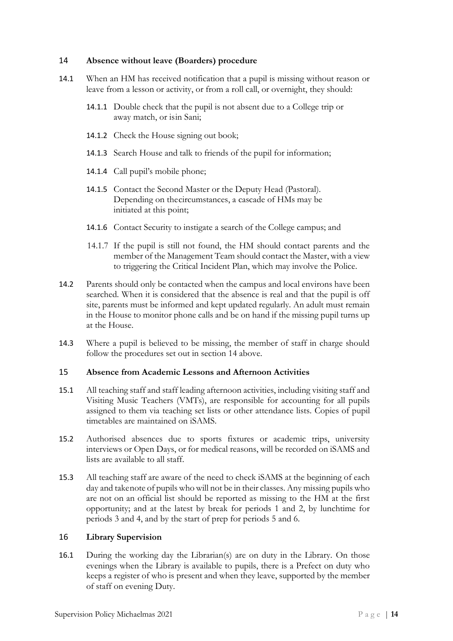### <span id="page-13-0"></span>14 **Absence without leave (Boarders) procedure**

- 14.1 When an HM has received notification that a pupil is missing without reason or leave from a lesson or activity, or from a roll call, or overnight, they should:
	- 14.1.1 Double check that the pupil is not absent due to a College trip or away match, or is in Sani;
	- 14.1.2 Check the House signing out book;
	- 14.1.3 Search House and talk to friends of the pupil for information;
	- 14.1.4 Call pupil's mobile phone;
	- 14.1.5 Contact the Second Master or the Deputy Head (Pastoral). Depending on the circumstances, a cascade of HMs may be initiated at this point;
	- 14.1.6 Contact Security to instigate a search of the College campus; and
	- 14.1.7 If the pupil is still not found, the HM should contact parents and the member of the Management Team should contact the Master, with a view to triggering the Critical Incident Plan, which may involve the Police.
- 14.2 Parents should only be contacted when the campus and local environs have been searched. When it is considered that the absence is real and that the pupil is off site, parents must be informed and kept updated regularly. An adult must remain in the House to monitor phone calls and be on hand if the missing pupil turns up at the House.
- 14.3 Where a pupil is believed to be missing, the member of staff in charge should follow the procedures set out in section 14 above.

#### <span id="page-13-1"></span>15 **Absence from Academic Lessons and Afternoon Activities**

- 15.1 All teaching staff and staff leading afternoon activities, including visiting staff and Visiting Music Teachers (VMTs), are responsible for accounting for all pupils assigned to them via teaching set lists or other attendance lists. Copies of pupil timetables are maintained on iSAMS.
- 15.2 Authorised absences due to sports fixtures or academic trips, university interviews or Open Days, or for medical reasons, will be recorded on iSAMS and lists are available to all staff.
- 15.3 All teaching staff are aware of the need to check iSAMS at the beginning of each day and take note of pupils who will not be in their classes. Any missing pupils who are not on an official list should be reported as missing to the HM at the first opportunity; and at the latest by break for periods 1 and 2, by lunchtime for periods 3 and 4, and by the start of prep for periods 5 and 6.

# <span id="page-13-2"></span>16 **Library Supervision**

16.1 During the working day the Librarian(s) are on duty in the Library. On those evenings when the Library is available to pupils, there is a Prefect on duty who keeps a register of who is present and when they leave, supported by the member of staff on evening Duty.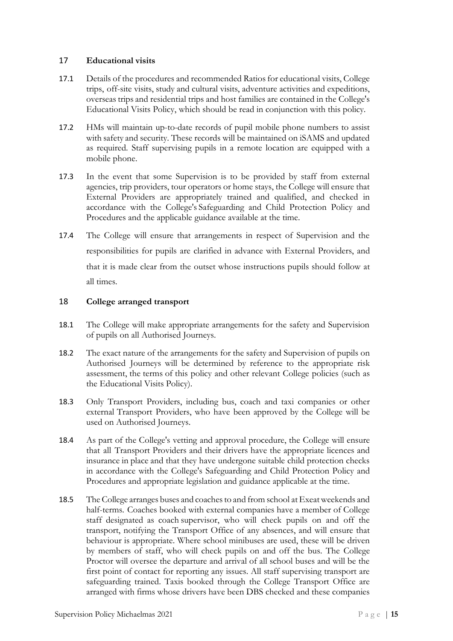# <span id="page-14-0"></span>17 **Educational visits**

- 17.1 Details of the procedures and recommended Ratios for educational visits, College trips, off-site visits, study and cultural visits, adventure activities and expeditions, overseas trips and residential trips and host families are contained in the College's Educational Visits Policy, which should be read in conjunction with this policy.
- 17.2 HMs will maintain up-to-date records of pupil mobile phone numbers to assist with safety and security. These records will be maintained on iSAMS and updated as required. Staff supervising pupils in a remote location are equipped with a mobile phone.
- 17.3 In the event that some Supervision is to be provided by staff from external agencies, trip providers, tour operators or home stays, the College will ensure that External Providers are appropriately trained and qualified, and checked in accordance with the College's Safeguarding and Child Protection Policy and Procedures and the applicable guidance available at the time.
- 17.4 The College will ensure that arrangements in respect of Supervision and the responsibilities for pupils are clarified in advance with External Providers, and that it is made clear from the outset whose instructions pupils should follow at all times.

# <span id="page-14-1"></span>18 **College arranged transport**

- 18.1 The College will make appropriate arrangements for the safety and Supervision of pupils on all Authorised Journeys.
- 18.2 The exact nature of the arrangements for the safety and Supervision of pupils on Authorised Journeys will be determined by reference to the appropriate risk assessment, the terms of this policy and other relevant College policies (such as the Educational Visits Policy).
- 18.3 Only Transport Providers, including bus, coach and taxi companies or other external Transport Providers, who have been approved by the College will be used on Authorised Journeys.
- 18.4 As part of the College's vetting and approval procedure, the College will ensure that all Transport Providers and their drivers have the appropriate licences and insurance in place and that they have undergone suitable child protection checks in accordance with the College's Safeguarding and Child Protection Policy and Procedures and appropriate legislation and guidance applicable at the time.
- 18.5 The College arranges buses and coaches to and from school at Exeat weekends and half-terms. Coaches booked with external companies have a member of College staff designated as coach supervisor, who will check pupils on and off the transport, notifying the Transport Office of any absences, and will ensure that behaviour is appropriate. Where school minibuses are used, these will be driven by members of staff, who will check pupils on and off the bus. The College Proctor will oversee the departure and arrival of all school buses and will be the first point of contact for reporting any issues. All staff supervising transport are safeguarding trained. Taxis booked through the College Transport Office are arranged with firms whose drivers have been DBS checked and these companies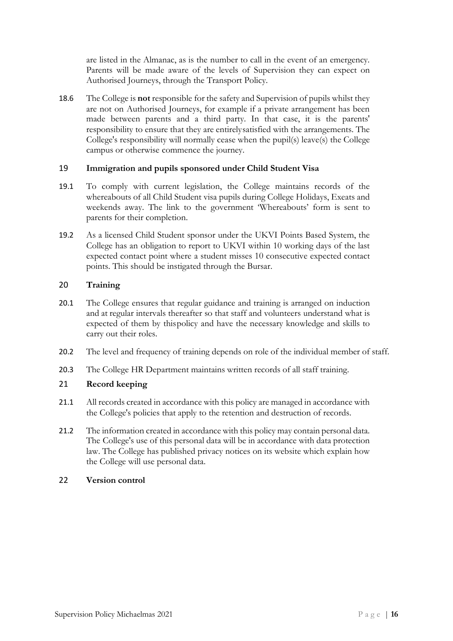are listed in the Almanac, as is the number to call in the event of an emergency. Parents will be made aware of the levels of Supervision they can expect on Authorised Journeys, through the Transport Policy.

18.6 The College is **not** responsible for the safety and Supervision of pupils whilst they are not on Authorised Journeys, for example if a private arrangement has been made between parents and a third party. In that case, it is the parents' responsibility to ensure that they are entirely satisfied with the arrangements. The College's responsibility will normally cease when the pupil(s) leave(s) the College campus or otherwise commence the journey.

# <span id="page-15-0"></span>19 **Immigration and pupils sponsored under Child Student Visa**

- 19.1 To comply with current legislation, the College maintains records of the whereabouts of all Child Student visa pupils during College Holidays, Exeats and weekends away. The link to the government 'Whereabouts' form is sent to parents for their completion.
- 19.2 As a licensed Child Student sponsor under the UKVI Points Based System, the College has an obligation to report to UKVI within 10 working days of the last expected contact point where a student misses 10 consecutive expected contact points. This should be instigated through the Bursar.

# <span id="page-15-1"></span>20 **Training**

- 20.1 The College ensures that regular guidance and training is arranged on induction and at regular intervals thereafter so that staff and volunteers understand what is expected of them by this policy and have the necessary knowledge and skills to carry out their roles.
- 20.2 The level and frequency of training depends on role of the individual member of staff.
- 20.3 The College HR Department maintains written records of all staff training.

# <span id="page-15-2"></span>21 **Record keeping**

- 21.1 All records created in accordance with this policy are managed in accordance with the College's policies that apply to the retention and destruction of records.
- 21.2 The information created in accordance with this policy may contain personal data. The College's use of this personal data will be in accordance with data protection law. The College has published privacy notices on its website which explain how the College will use personal data.

# <span id="page-15-3"></span>22 **Version control**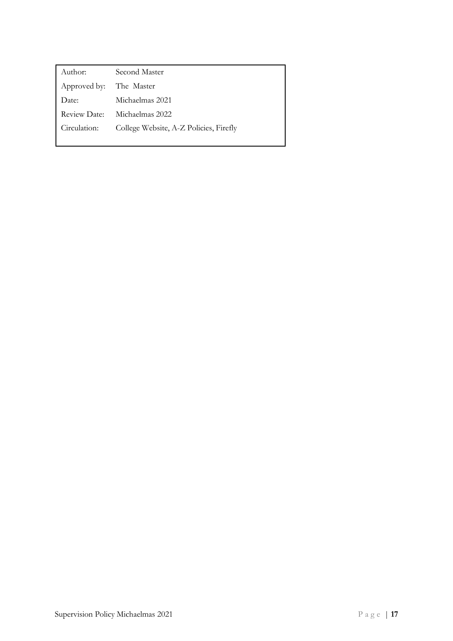| Author:             | Second Master                          |
|---------------------|----------------------------------------|
| Approved by:        | The Master                             |
| Date:               | Michaelmas 2021                        |
| <b>Review Date:</b> | Michaelmas 2022                        |
| Circulation:        | College Website, A-Z Policies, Firefly |
|                     |                                        |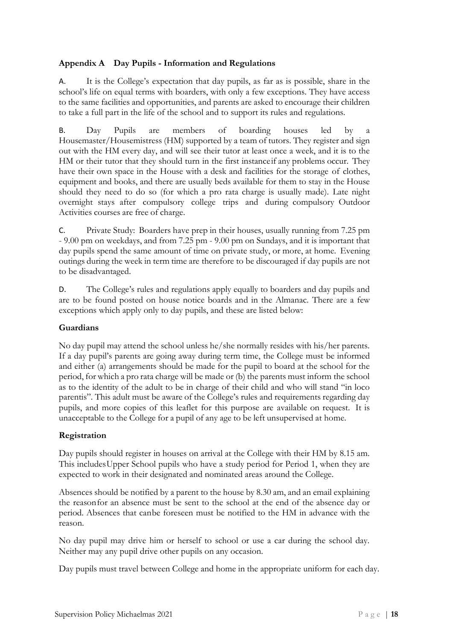# **Appendix A Day Pupils - Information and Regulations**

A. It is the College's expectation that day pupils, as far as is possible, share in the school's life on equal terms with boarders, with only a few exceptions. They have access to the same facilities and opportunities, and parents are asked to encourage their children to take a full part in the life of the school and to support its rules and regulations.

B. Day Pupils are members of boarding houses led by a Housemaster/Housemistress (HM) supported by a team of tutors. They register and sign out with the HM every day, and will see their tutor at least once a week, and it is to the HM or their tutor that they should turn in the first instance if any problems occur. They have their own space in the House with a desk and facilities for the storage of clothes, equipment and books, and there are usually beds available for them to stay in the House should they need to do so (for which a pro rata charge is usually made). Late night overnight stays after compulsory college trips and during compulsory Outdoor Activities courses are free of charge.

C. Private Study: Boarders have prep in their houses, usually running from 7.25 pm - 9.00 pm on weekdays, and from 7.25 pm - 9.00 pm on Sundays, and it is important that day pupils spend the same amount of time on private study, or more, at home. Evening outings during the week in term time are therefore to be discouraged if day pupils are not to be disadvantaged.

D. The College's rules and regulations apply equally to boarders and day pupils and are to be found posted on house notice boards and in the Almanac. There are a few exceptions which apply only to day pupils, and these are listed below:

# **Guardians**

No day pupil may attend the school unless he/she normally resides with his/her parents. If a day pupil's parents are going away during term time, the College must be informed and either (a) arrangements should be made for the pupil to board at the school for the period, for which a pro rata charge will be made or (b) the parents must inform the school as to the identity of the adult to be in charge of their child and who will stand "in loco parentis". This adult must be aware of the College's rules and requirements regarding day pupils, and more copies of this leaflet for this purpose are available on request. It is unacceptable to the College for a pupil of any age to be left unsupervised at home.

# **Registration**

Day pupils should register in houses on arrival at the College with their HM by 8.15 am. This includes Upper School pupils who have a study period for Period 1, when they are expected to work in their designated and nominated areas around the College.

Absences should be notified by a parent to the house by 8.30 am, and an email explaining the reason for an absence must be sent to the school at the end of the absence day or period. Absences that can be foreseen must be notified to the HM in advance with the reason.

No day pupil may drive him or herself to school or use a car during the school day. Neither may any pupil drive other pupils on any occasion.

Day pupils must travel between College and home in the appropriate uniform for each day.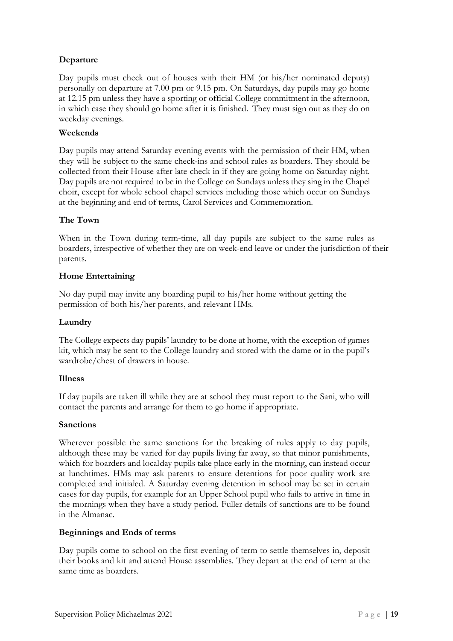# **Departure**

Day pupils must check out of houses with their HM (or his/her nominated deputy) personally on departure at 7.00 pm or 9.15 pm. On Saturdays, day pupils may go home at 12.15 pm unless they have a sporting or official College commitment in the afternoon, in which case they should go home after it is finished. They must sign out as they do on weekday evenings.

# **Weekends**

Day pupils may attend Saturday evening events with the permission of their HM, when they will be subject to the same check-ins and school rules as boarders. They should be collected from their House after late check in if they are going home on Saturday night. Day pupils are not required to be in the College on Sundays unless they sing in the Chapel choir, except for whole school chapel services including those which occur on Sundays at the beginning and end of terms, Carol Services and Commemoration.

# **The Town**

When in the Town during term-time, all day pupils are subject to the same rules as boarders, irrespective of whether they are on week-end leave or under the jurisdiction of their parents.

# **Home Entertaining**

No day pupil may invite any boarding pupil to his/her home without getting the permission of both his/her parents, and relevant HMs.

# **Laundry**

The College expects day pupils' laundry to be done at home, with the exception of games kit, which may be sent to the College laundry and stored with the dame or in the pupil's wardrobe/chest of drawers in house.

# **Illness**

If day pupils are taken ill while they are at school they must report to the Sani, who will contact the parents and arrange for them to go home if appropriate.

# **Sanctions**

Wherever possible the same sanctions for the breaking of rules apply to day pupils, although these may be varied for day pupils living far away, so that minor punishments, which for boarders and local day pupils take place early in the morning, can instead occur at lunchtimes. HMs may ask parents to ensure detentions for poor quality work are completed and initialed. A Saturday evening detention in school may be set in certain cases for day pupils, for example for an Upper School pupil who fails to arrive in time in the mornings when they have a study period. Fuller details of sanctions are to be found in the Almanac.

# **Beginnings and Ends of terms**

Day pupils come to school on the first evening of term to settle themselves in, deposit their books and kit and attend House assemblies. They depart at the end of term at the same time as boarders.